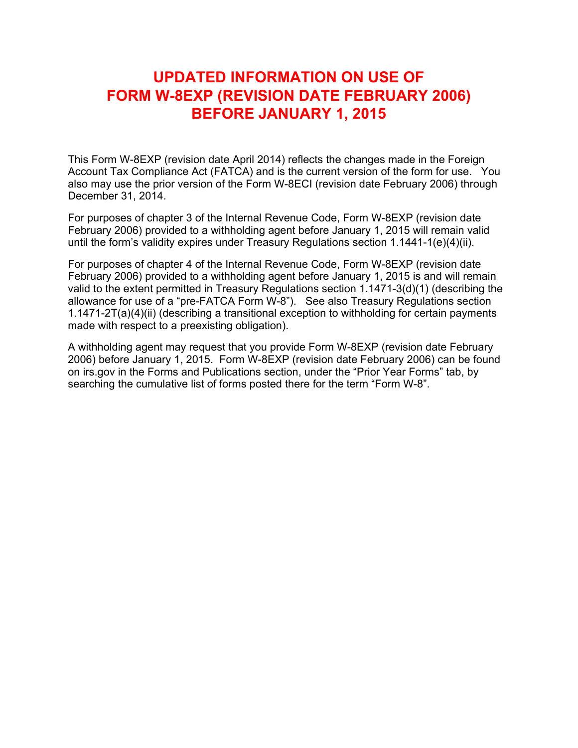# **UPDATED INFORMATION ON USE OF FORM W-8EXP (REVISION DATE FEBRUARY 2006) BEFORE JANUARY 1, 2015**

This Form W-8EXP (revision date April 2014) reflects the changes made in the Foreign Account Tax Compliance Act (FATCA) and is the current version of the form for use. You also may use the prior version of the Form W-8ECI (revision date February 2006) through December 31, 2014.

For purposes of chapter 3 of the Internal Revenue Code, Form W-8EXP (revision date February 2006) provided to a withholding agent before January 1, 2015 will remain valid until the form's validity expires under Treasury Regulations section 1.1441-1(e)(4)(ii).

For purposes of chapter 4 of the Internal Revenue Code, Form W-8EXP (revision date February 2006) provided to a withholding agent before January 1, 2015 is and will remain valid to the extent permitted in Treasury Regulations section 1.1471-3(d)(1) (describing the allowance for use of a "pre-FATCA Form W-8"). See also Treasury Regulations section 1.1471-2T(a)(4)(ii) (describing a transitional exception to withholding for certain payments made with respect to a preexisting obligation).

A withholding agent may request that you provide Form W-8EXP (revision date February 2006) before January 1, 2015. Form W-8EXP (revision date February 2006) can be found on irs.gov in the Forms and Publications section, under the "Prior Year Forms" tab, by searching the cumulative list of forms posted there for the term "Form W-8".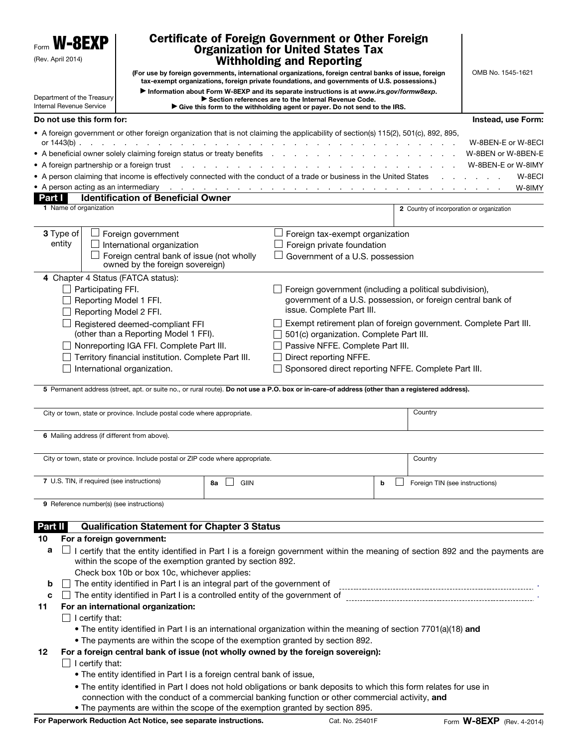| W-8EXP<br>(Rev. April 2014)                                                      | Certificate of Foreign Government or Other Foreign<br><b>Organization for United States Tax</b><br><b>Withholding and Reporting</b> |            |                                                                                                                                                                                                                                                                                                                                                         |                                                                                                                                                                                                                                |                                            |                              |  |
|----------------------------------------------------------------------------------|-------------------------------------------------------------------------------------------------------------------------------------|------------|---------------------------------------------------------------------------------------------------------------------------------------------------------------------------------------------------------------------------------------------------------------------------------------------------------------------------------------------------------|--------------------------------------------------------------------------------------------------------------------------------------------------------------------------------------------------------------------------------|--------------------------------------------|------------------------------|--|
|                                                                                  |                                                                                                                                     |            | (For use by foreign governments, international organizations, foreign central banks of issue, foreign<br>tax-exempt organizations, foreign private foundations, and governments of U.S. possessions.)                                                                                                                                                   |                                                                                                                                                                                                                                |                                            | OMB No. 1545-1621            |  |
|                                                                                  |                                                                                                                                     |            | Information about Form W-8EXP and its separate instructions is at www.irs.gov/formw8exp.                                                                                                                                                                                                                                                                |                                                                                                                                                                                                                                |                                            |                              |  |
| Department of the Treasury<br>Internal Revenue Service                           |                                                                                                                                     |            | Section references are to the Internal Revenue Code.<br>Give this form to the withholding agent or payer. Do not send to the IRS.                                                                                                                                                                                                                       |                                                                                                                                                                                                                                |                                            |                              |  |
| Do not use this form for:                                                        |                                                                                                                                     |            |                                                                                                                                                                                                                                                                                                                                                         |                                                                                                                                                                                                                                |                                            | Instead, use Form:           |  |
|                                                                                  |                                                                                                                                     |            | • A foreign government or other foreign organization that is not claiming the applicability of section(s) 115(2), 501(c), 892, 895,                                                                                                                                                                                                                     |                                                                                                                                                                                                                                |                                            |                              |  |
|                                                                                  |                                                                                                                                     |            |                                                                                                                                                                                                                                                                                                                                                         |                                                                                                                                                                                                                                |                                            | W-8BEN-E or W-8ECI           |  |
|                                                                                  |                                                                                                                                     |            |                                                                                                                                                                                                                                                                                                                                                         | and the contract of the contract of the contract of the contract of the contract of the contract of the contract of the contract of the contract of the contract of the contract of the contract of the contract of the contra |                                            | W-8BEN or W-8BEN-E           |  |
|                                                                                  |                                                                                                                                     |            | • A foreign partnership or a foreign trust results and results and results and results are a set of the A results and results are a results of the A results and results are a results and results are a results of the A resu<br>• A person claiming that income is effectively connected with the conduct of a trade or business in the United States |                                                                                                                                                                                                                                |                                            | W-8BEN-E or W-8IMY<br>W-8ECI |  |
|                                                                                  |                                                                                                                                     |            | • A person acting as an intermediary enter the content of the content of the content of the content of the content of the content of the content of the content of the content of the content of the content of the content of                                                                                                                          |                                                                                                                                                                                                                                |                                            | W-8IMY                       |  |
| <b>Part I</b>                                                                    | <b>Identification of Beneficial Owner</b>                                                                                           |            |                                                                                                                                                                                                                                                                                                                                                         |                                                                                                                                                                                                                                |                                            |                              |  |
| 1 Name of organization                                                           |                                                                                                                                     |            |                                                                                                                                                                                                                                                                                                                                                         |                                                                                                                                                                                                                                | 2 Country of incorporation or organization |                              |  |
|                                                                                  |                                                                                                                                     |            |                                                                                                                                                                                                                                                                                                                                                         |                                                                                                                                                                                                                                |                                            |                              |  |
| 3 Type of<br>$\perp$ Foreign government<br>entity<br>International organization  |                                                                                                                                     |            | $\Box$ Foreign tax-exempt organization<br>Foreign private foundation                                                                                                                                                                                                                                                                                    |                                                                                                                                                                                                                                |                                            |                              |  |
| Foreign central bank of issue (not wholly                                        |                                                                                                                                     |            | Government of a U.S. possession                                                                                                                                                                                                                                                                                                                         |                                                                                                                                                                                                                                |                                            |                              |  |
|                                                                                  | owned by the foreign sovereign)                                                                                                     |            |                                                                                                                                                                                                                                                                                                                                                         |                                                                                                                                                                                                                                |                                            |                              |  |
|                                                                                  | 4 Chapter 4 Status (FATCA status):                                                                                                  |            |                                                                                                                                                                                                                                                                                                                                                         |                                                                                                                                                                                                                                |                                            |                              |  |
|                                                                                  | Participating FFI.                                                                                                                  |            | Foreign government (including a political subdivision),                                                                                                                                                                                                                                                                                                 |                                                                                                                                                                                                                                |                                            |                              |  |
|                                                                                  | Reporting Model 1 FFI.                                                                                                              |            | government of a U.S. possession, or foreign central bank of<br>issue. Complete Part III.                                                                                                                                                                                                                                                                |                                                                                                                                                                                                                                |                                            |                              |  |
|                                                                                  | Reporting Model 2 FFI.                                                                                                              |            |                                                                                                                                                                                                                                                                                                                                                         |                                                                                                                                                                                                                                |                                            |                              |  |
|                                                                                  | Registered deemed-compliant FFI<br>(other than a Reporting Model 1 FFI).                                                            |            | Exempt retirement plan of foreign government. Complete Part III.<br>501(c) organization. Complete Part III.                                                                                                                                                                                                                                             |                                                                                                                                                                                                                                |                                            |                              |  |
|                                                                                  | Nonreporting IGA FFI. Complete Part III.                                                                                            |            | Passive NFFE. Complete Part III.                                                                                                                                                                                                                                                                                                                        |                                                                                                                                                                                                                                |                                            |                              |  |
|                                                                                  | Territory financial institution. Complete Part III.                                                                                 |            | Direct reporting NFFE.                                                                                                                                                                                                                                                                                                                                  |                                                                                                                                                                                                                                |                                            |                              |  |
|                                                                                  | International organization.                                                                                                         |            | Sponsored direct reporting NFFE. Complete Part III.                                                                                                                                                                                                                                                                                                     |                                                                                                                                                                                                                                |                                            |                              |  |
|                                                                                  |                                                                                                                                     |            |                                                                                                                                                                                                                                                                                                                                                         |                                                                                                                                                                                                                                |                                            |                              |  |
|                                                                                  |                                                                                                                                     |            | 5 Permanent address (street, apt. or suite no., or rural route). Do not use a P.O. box or in-care-of address (other than a registered address).                                                                                                                                                                                                         |                                                                                                                                                                                                                                |                                            |                              |  |
|                                                                                  | City or town, state or province. Include postal code where appropriate.                                                             |            |                                                                                                                                                                                                                                                                                                                                                         |                                                                                                                                                                                                                                | Country                                    |                              |  |
|                                                                                  |                                                                                                                                     |            |                                                                                                                                                                                                                                                                                                                                                         |                                                                                                                                                                                                                                |                                            |                              |  |
|                                                                                  | 6 Mailing address (if different from above).                                                                                        |            |                                                                                                                                                                                                                                                                                                                                                         |                                                                                                                                                                                                                                |                                            |                              |  |
|                                                                                  | City or town, state or province. Include postal or ZIP code where appropriate.                                                      |            |                                                                                                                                                                                                                                                                                                                                                         |                                                                                                                                                                                                                                |                                            |                              |  |
|                                                                                  |                                                                                                                                     |            |                                                                                                                                                                                                                                                                                                                                                         |                                                                                                                                                                                                                                | Country                                    |                              |  |
|                                                                                  | 7 U.S. TIN, if required (see instructions)                                                                                          | GIIN<br>8a |                                                                                                                                                                                                                                                                                                                                                         | b                                                                                                                                                                                                                              | Foreign TIN (see instructions)             |                              |  |
|                                                                                  |                                                                                                                                     |            |                                                                                                                                                                                                                                                                                                                                                         |                                                                                                                                                                                                                                |                                            |                              |  |
|                                                                                  | 9 Reference number(s) (see instructions)                                                                                            |            |                                                                                                                                                                                                                                                                                                                                                         |                                                                                                                                                                                                                                |                                            |                              |  |
| Part II                                                                          |                                                                                                                                     |            |                                                                                                                                                                                                                                                                                                                                                         |                                                                                                                                                                                                                                |                                            |                              |  |
| 10                                                                               | <b>Qualification Statement for Chapter 3 Status</b><br>For a foreign government:                                                    |            |                                                                                                                                                                                                                                                                                                                                                         |                                                                                                                                                                                                                                |                                            |                              |  |
| a                                                                                |                                                                                                                                     |            | I certify that the entity identified in Part I is a foreign government within the meaning of section 892 and the payments are                                                                                                                                                                                                                           |                                                                                                                                                                                                                                |                                            |                              |  |
|                                                                                  | within the scope of the exemption granted by section 892.                                                                           |            |                                                                                                                                                                                                                                                                                                                                                         |                                                                                                                                                                                                                                |                                            |                              |  |
|                                                                                  | Check box 10b or box 10c, whichever applies:                                                                                        |            |                                                                                                                                                                                                                                                                                                                                                         |                                                                                                                                                                                                                                |                                            |                              |  |
| b                                                                                | The entity identified in Part I is an integral part of the government of                                                            |            |                                                                                                                                                                                                                                                                                                                                                         |                                                                                                                                                                                                                                |                                            |                              |  |
| The entity identified in Part I is a controlled entity of the government of<br>C |                                                                                                                                     |            |                                                                                                                                                                                                                                                                                                                                                         |                                                                                                                                                                                                                                |                                            |                              |  |
| 11                                                                               | For an international organization:                                                                                                  |            |                                                                                                                                                                                                                                                                                                                                                         |                                                                                                                                                                                                                                |                                            |                              |  |
|                                                                                  | I certify that:                                                                                                                     |            |                                                                                                                                                                                                                                                                                                                                                         |                                                                                                                                                                                                                                |                                            |                              |  |
|                                                                                  |                                                                                                                                     |            | • The entity identified in Part I is an international organization within the meaning of section 7701(a)(18) and                                                                                                                                                                                                                                        |                                                                                                                                                                                                                                |                                            |                              |  |
|                                                                                  |                                                                                                                                     |            | . The payments are within the scope of the exemption granted by section 892.<br>For a foreign central bank of issue (not wholly owned by the foreign sovereign):                                                                                                                                                                                        |                                                                                                                                                                                                                                |                                            |                              |  |
| 12                                                                               | I certify that:                                                                                                                     |            |                                                                                                                                                                                                                                                                                                                                                         |                                                                                                                                                                                                                                |                                            |                              |  |
|                                                                                  | . The entity identified in Part I is a foreign central bank of issue,                                                               |            |                                                                                                                                                                                                                                                                                                                                                         |                                                                                                                                                                                                                                |                                            |                              |  |
|                                                                                  |                                                                                                                                     |            | . The entity identified in Part I does not hold obligations or bank deposits to which this form relates for use in                                                                                                                                                                                                                                      |                                                                                                                                                                                                                                |                                            |                              |  |
|                                                                                  |                                                                                                                                     |            | connection with the conduct of a commercial banking function or other commercial activity, and                                                                                                                                                                                                                                                          |                                                                                                                                                                                                                                |                                            |                              |  |
|                                                                                  |                                                                                                                                     |            | . The payments are within the scope of the exemption granted by section 895.                                                                                                                                                                                                                                                                            |                                                                                                                                                                                                                                |                                            |                              |  |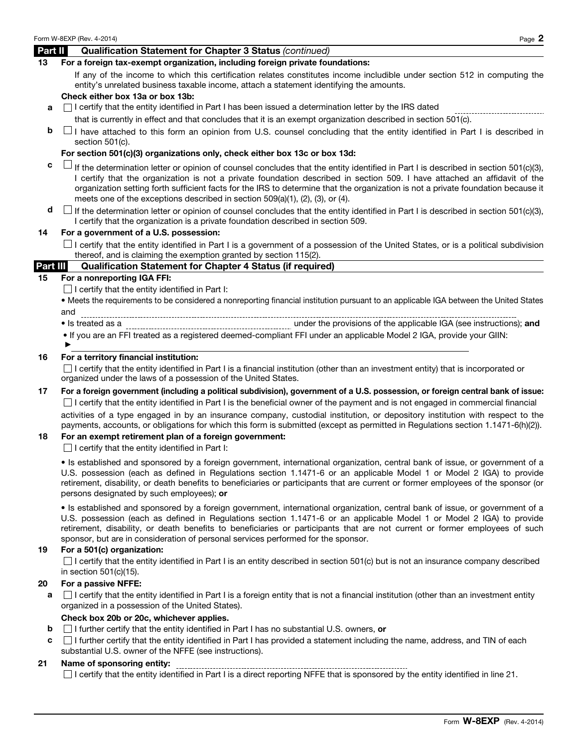## Form W-8EXP (Rev. 4-2014)  $P_{\text{aqe}} \, 2$ Part II Qualification Statement for Chapter 3 Status *(continued)*  13 For a foreign tax-exempt organization, including foreign private foundations: If any of the income to which this certification relates constitutes income includible under section 512 in computing the entity's unrelated business taxable income, attach a statement identifying the amounts. Check either box 13a or box 13b:  $a \cap l$  certify that the entity identified in Part I has been issued a determination letter by the IRS dated that is currently in effect and that concludes that it is an exempt organization described in section 501(c).  $\mathsf{b}$   $\Box$  I have attached to this form an opinion from U.S. counsel concluding that the entity identified in Part I is described in section 501(c). For section 501(c)(3) organizations only, check either box 13c or box 13d:  $c \Box$  If the determination letter or opinion of counsel concludes that the entity identified in Part I is described in section 501(c)(3), I certify that the organization is not a private foundation described in section 509. I have attached an affidavit of the organization setting forth sufficient facts for the IRS to determine that the organization is not a private foundation because it meets one of the exceptions described in section 509(a)(1), (2), (3), or (4).  $\mathbf{d}$   $\Box$  If the determination letter or opinion of counsel concludes that the entity identified in Part I is described in section 501(c)(3), I certify that the organization is a private foundation described in section 509. 14 For a government of a U.S. possession:  $\Box$  I certify that the entity identified in Part I is a government of a possession of the United States, or is a political subdivision thereof, and is claiming the exemption granted by section 115(2). Part III Qualification Statement for Chapter 4 Status (if required) 15 For a nonreporting IGA FFI:  $\Box$  I certify that the entity identified in Part I: • Meets the requirements to be considered a nonreporting financial institution pursuant to an applicable IGA between the United States and • Is treated as a under the provisions of the applicable IGA (see instructions); and • If you are an FFI treated as a registered deemed-compliant FFI under an applicable Model 2 IGA, provide your GIIN: 16 For a territory financial institution:  $\Box$  I certify that the entity identified in Part I is a financial institution (other than an investment entity) that is incorporated or organized under the laws of a possession of the United States. 17 For a foreign government (including a political subdivision), government of a U.S. possession, or foreign central bank of issue: □I certify that the entity identified in Part I is the beneficial owner of the payment and is not engaged in commercial financial activities of a type engaged in by an insurance company, custodial institution, or depository institution with respect to the payments, accounts, or obligations for which this form is submitted (except as permitted in Regulations section 1.1471-6(h)(2)). 18 For an exempt retirement plan of a foreign government:  $\Box$  I certify that the entity identified in Part I: • Is established and sponsored by a foreign government, international organization, central bank of issue, or government of a U.S. possession (each as defined in Regulations section 1.1471-6 or an applicable Model 1 or Model 2 IGA) to provide retirement, disability, or death benefits to beneficiaries or participants that are current or former employees of the sponsor (or persons designated by such employees); or • Is established and sponsored by a foreign government, international organization, central bank of issue, or government of a U.S. possession (each as defined in Regulations section 1.1471-6 or an applicable Model 1 or Model 2 IGA) to provide retirement, disability, or death benefits to beneficiaries or participants that are not current or former employees of such sponsor, but are in consideration of personal services performed for the sponsor. 19 For a 501(c) organization:  $\Box$  I certify that the entity identified in Part I is an entity described in section 501(c) but is not an insurance company described in section 501(c)(15). 20 For a passive NFFE: **a**  $\Box$  I certify that the entity identified in Part I is a foreign entity that is not a financial institution (other than an investment entity organized in a possession of the United States). ▶

#### Check box 20b or 20c, whichever applies.

- **b**  $\Box$  I further certify that the entity identified in Part I has no substantial U.S. owners, or
- $c \cap$  I further certify that the entity identified in Part I has provided a statement including the name, address, and TIN of each substantial U.S. owner of the NFFE (see instructions).

#### 21 Name of sponsoring entity:

--------------------------- $\Box$  I certify that the entity identified in Part I is a direct reporting NFFE that is sponsored by the entity identified in line 21.